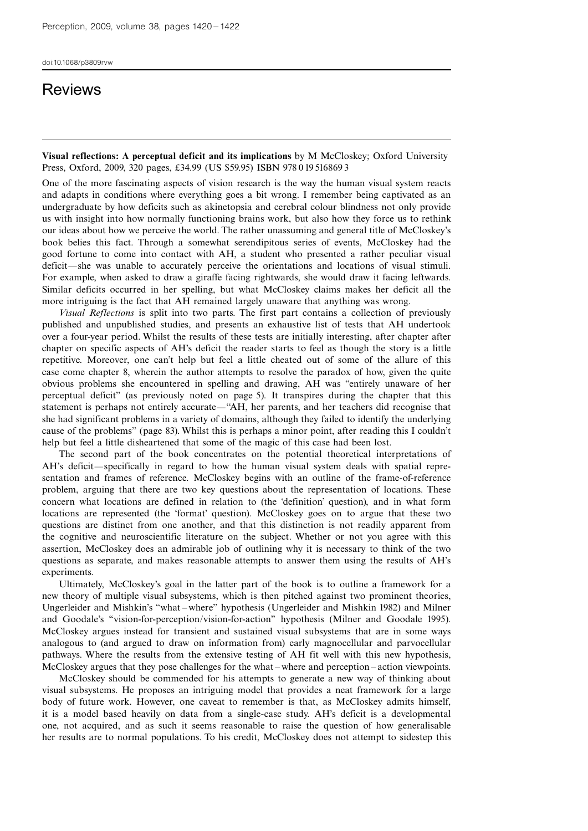## **Reviews**

Visual reflections: A perceptual deficit and its implications by M McCloskey; Oxford University Press, Oxford, 2009, 320 pages, £34.99 (US \$59.95) ISBN 978 0 19 516869 3

One of the more fascinating aspects of vision research is the way the human visual system reacts and adapts in conditions where everything goes a bit wrong. I remember being captivated as an undergraduate by how deficits such as akinetopsia and cerebral colour blindness not only provide us with insight into how normally functioning brains work, but also how they force us to rethink our ideas about how we perceive the world. The rather unassuming and general title of McCloskey's book belies this fact. Through a somewhat serendipitous series of events, McCloskey had the good fortune to come into contact with AH, a student who presented a rather peculiar visual deficit—she was unable to accurately perceive the orientations and locations of visual stimuli. For example, when asked to draw a giraffe facing rightwards, she would draw it facing leftwards. Similar deficits occurred in her spelling, but what McCloskey claims makes her deficit all the more intriguing is the fact that AH remained largely unaware that anything was wrong.

Visual Reflections is split into two parts. The first part contains a collection of previously published and unpublished studies, and presents an exhaustive list of tests that AH undertook over a four-year period. Whilst the results of these tests are initially interesting, after chapter after chapter on specific aspects of AH's deficit the reader starts to feel as though the story is a little repetitive. Moreover, one can't help but feel a little cheated out of some of the allure of this case come chapter 8, wherein the author attempts to resolve the paradox of how, given the quite obvious problems she encountered in spelling and drawing, AH was "entirely unaware of her perceptual deficit'' (as previously noted on page 5). It transpires during the chapter that this statement is perhaps not entirely accurate—"AH, her parents, and her teachers did recognise that she had significant problems in a variety of domains, although they failed to identify the underlying cause of the problems'' (page 83). Whilst this is perhaps a minor point, after reading this I couldn't help but feel a little disheartened that some of the magic of this case had been lost.

The second part of the book concentrates on the potential theoretical interpretations of AH's deficit—specifically in regard to how the human visual system deals with spatial representation and frames of reference. McCloskey begins with an outline of the frame-of-reference problem, arguing that there are two key questions about the representation of locations. These concern what locations are defined in relation to (the `definition' question), and in what form locations are represented (the 'format' question). McCloskey goes on to argue that these two questions are distinct from one another, and that this distinction is not readily apparent from the cognitive and neuroscientific literature on the subject. Whether or not you agree with this assertion, McCloskey does an admirable job of outlining why it is necessary to think of the two questions as separate, and makes reasonable attempts to answer them using the results of AH's experiments.

Ultimately, McCloskey's goal in the latter part of the book is to outline a framework for a new theory of multiple visual subsystems, which is then pitched against two prominent theories, Ungerleider and Mishkin's "what - where" hypothesis (Ungerleider and Mishkin 1982) and Milner and Goodale's "vision-for-perception/vision-for-action" hypothesis (Milner and Goodale 1995). McCloskey argues instead for transient and sustained visual subsystems that are in some ways analogous to (and argued to draw on information from) early magnocellular and parvocellular pathways. Where the results from the extensive testing of AH fit well with this new hypothesis, McCloskey argues that they pose challenges for the what – where and perception – action viewpoints.

McCloskey should be commended for his attempts to generate a new way of thinking about visual subsystems. He proposes an intriguing model that provides a neat framework for a large body of future work. However, one caveat to remember is that, as McCloskey admits himself, it is a model based heavily on data from a single-case study. AH's deficit is a developmental one, not acquired, and as such it seems reasonable to raise the question of how generalisable her results are to normal populations. To his credit, McCloskey does not attempt to sidestep this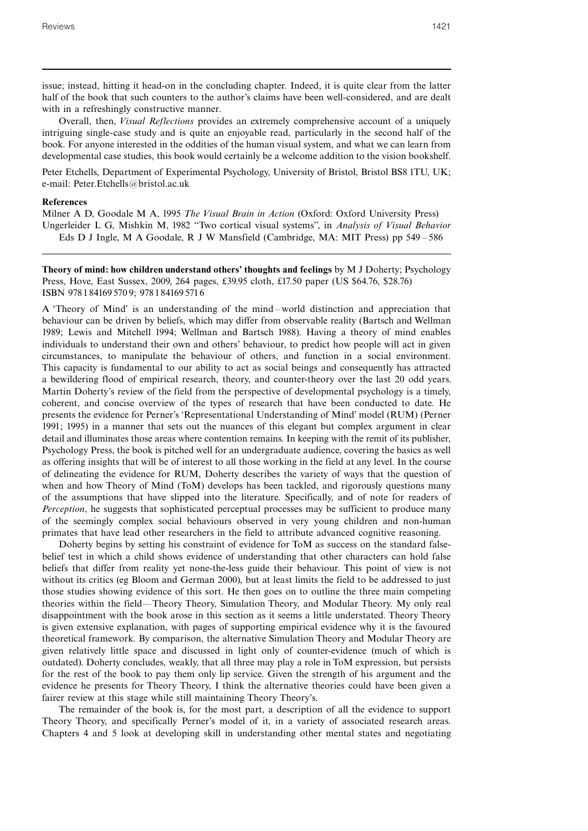issue; instead, hitting it head-on in the concluding chapter. Indeed, it is quite clear from the latter half of the book that such counters to the author's claims have been well-considered, and are dealt with in a refreshingly constructive manner.

Overall, then, Visual Reflections provides an extremely comprehensive account of a uniquely intriguing single-case study and is quite an enjoyable read, particularly in the second half of the book. For anyone interested in the oddities of the human visual system, and what we can learn from developmental case studies, this book would certainly be a welcome addition to the vision bookshelf.

Peter Etchells, Department of Experimental Psychology, University of Bristol, Bristol BS8 1TU, UK; e-mail: Peter.Etchells@bristol.ac.uk

## References

Milner A D, Goodale M A, 1995 The Visual Brain in Action (Oxford: Oxford University Press) Ungerleider L G, Mishkin M, 1982 "Two cortical visual systems", in Analysis of Visual Behavior Eds D J Ingle, M A Goodale, R J W Mansfield (Cambridge, MA: MIT Press) pp 549 ^ 586

Theory of mind: how children understand others' thoughts and feelings by M J Doherty; Psychology Press, Hove, East Sussex, 2009, 264 pages, £39.95 cloth, £17.50 paper (US \$64.76, \$28.76) ISBN 978 1 84169 570 9; 978 1 84169 571 6

A `Theory of Mind' is an understanding of the mind ^ world distinction and appreciation that behaviour can be driven by beliefs, which may differ from observable reality (Bartsch and Wellman 1989; Lewis and Mitchell 1994; Wellman and Bartsch 1988). Having a theory of mind enables individuals to understand their own and others' behaviour, to predict how people will act in given circumstances, to manipulate the behaviour of others, and function in a social environment. This capacity is fundamental to our ability to act as social beings and consequently has attracted a bewildering flood of empirical research, theory, and counter-theory over the last 20 odd years. Martin Doherty's review of the field from the perspective of developmental psychology is a timely, coherent, and concise overview of the types of research that have been conducted to date. He presents the evidence for Perner's `Representational Understanding of Mind' model (RUM) (Perner 1991; 1995) in a manner that sets out the nuances of this elegant but complex argument in clear detail and illuminates those areas where contention remains. In keeping with the remit of its publisher, Psychology Press, the book is pitched well for an undergraduate audience, covering the basics as well as offering insights that will be of interest to all those working in the field at any level. In the course of delineating the evidence for RUM, Doherty describes the variety of ways that the question of when and how Theory of Mind (ToM) develops has been tackled, and rigorously questions many of the assumptions that have slipped into the literature. Specifically, and of note for readers of Perception, he suggests that sophisticated perceptual processes may be sufficient to produce many of the seemingly complex social behaviours observed in very young children and non-human primates that have lead other researchers in the field to attribute advanced cognitive reasoning.

Doherty begins by setting his constraint of evidence for ToM as success on the standard falsebelief test in which a child shows evidence of understanding that other characters can hold false beliefs that differ from reality yet none-the-less guide their behaviour. This point of view is not without its critics (eg Bloom and German 2000), but at least limits the field to be addressed to just those studies showing evidence of this sort. He then goes on to outline the three main competing theories within the field—Theory Theory, Simulation Theory, and Modular Theory. My only real disappointment with the book arose in this section as it seems a little understated. Theory Theory is given extensive explanation, with pages of supporting empirical evidence why it is the favoured theoretical framework. By comparison, the alternative Simulation Theory and Modular Theory are given relatively little space and discussed in light only of counter-evidence (much of which is outdated). Doherty concludes, weakly, that all three may play a role in ToM expression, but persists for the rest of the book to pay them only lip service. Given the strength of his argument and the evidence he presents for Theory Theory, I think the alternative theories could have been given a fairer review at this stage while still maintaining Theory Theory's.

The remainder of the book is, for the most part, a description of all the evidence to support Theory Theory, and specifically Perner's model of it, in a variety of associated research areas. Chapters 4 and 5 look at developing skill in understanding other mental states and negotiating